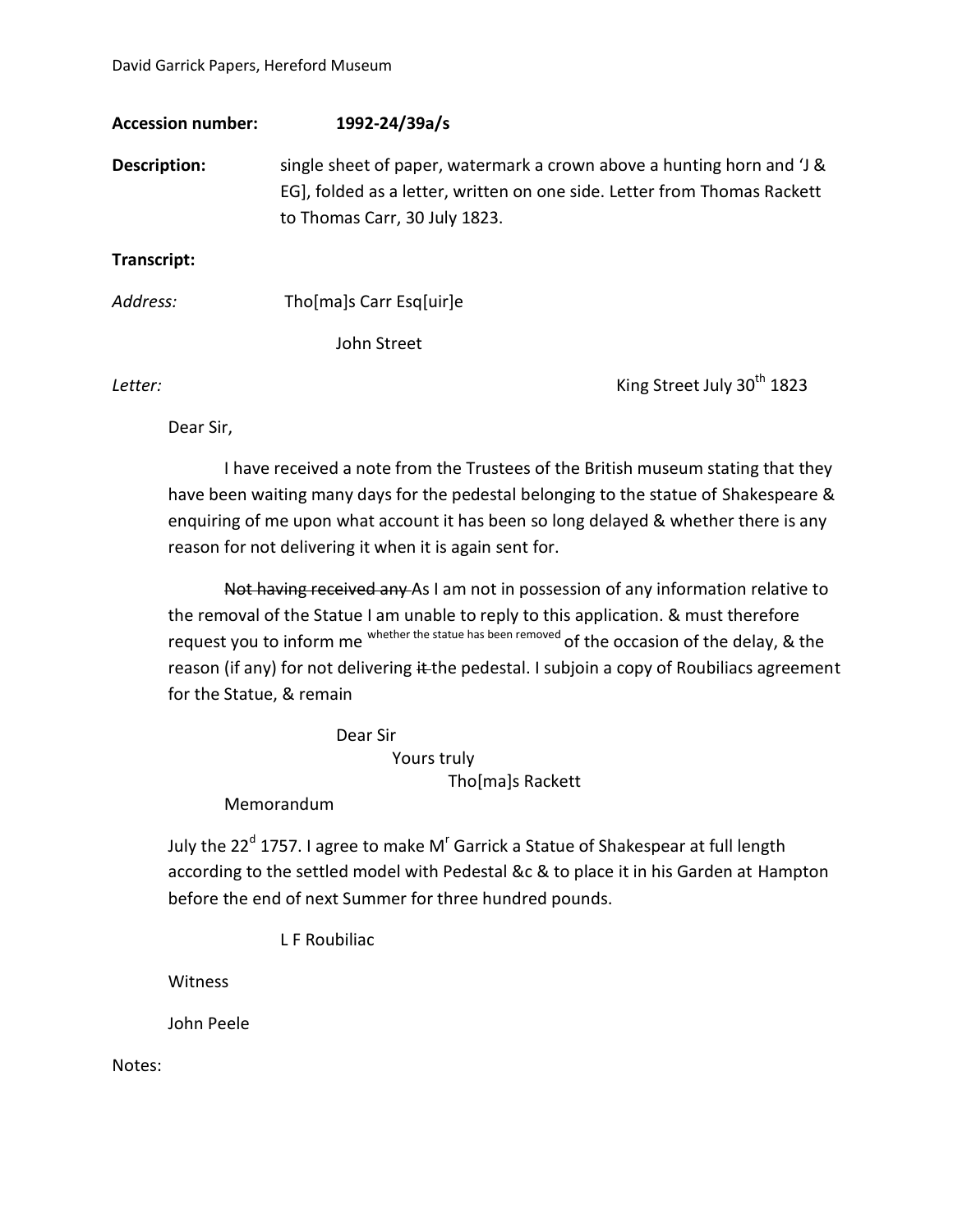David Garrick Papers, Hereford Museum

| <b>Accession number:</b> | 1992-24/39a/s                                                                                                                                                                       |
|--------------------------|-------------------------------------------------------------------------------------------------------------------------------------------------------------------------------------|
| Description:             | single sheet of paper, watermark a crown above a hunting horn and 'J &<br>EG], folded as a letter, written on one side. Letter from Thomas Rackett<br>to Thomas Carr, 30 July 1823. |
| Transcript:              |                                                                                                                                                                                     |
| Address:                 | Tho[ma]s Carr Esg[uir]e                                                                                                                                                             |
|                          | John Street                                                                                                                                                                         |

**Letter:** King Street July 30<sup>th</sup> 1823

Dear Sir,

I have received a note from the Trustees of the British museum stating that they have been waiting many days for the pedestal belonging to the statue of Shakespeare & enquiring of me upon what account it has been so long delayed & whether there is any reason for not delivering it when it is again sent for.

Not having received any As I am not in possession of any information relative to the removal of the Statue I am unable to reply to this application. & must therefore request you to inform me whether the statue has been removed of the occasion of the delay, & the reason (if any) for not delivering it the pedestal. I subjoin a copy of Roubiliacs agreement for the Statue, & remain

Dear Sir

Yours truly

Tho[ma]s Rackett

Memorandum

July the 22<sup>d</sup> 1757. I agree to make M<sup>r</sup> Garrick a Statue of Shakespear at full length according to the settled model with Pedestal &c & to place it in his Garden at Hampton before the end of next Summer for three hundred pounds.

L F Roubiliac

Witness

John Peele

Notes: